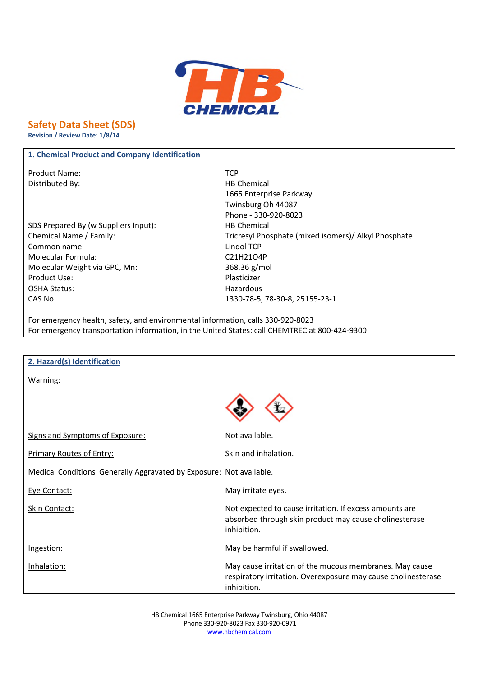

# **Safety Data Sheet (SDS)**

**Revision / Review Date: 1/8/14**

## **1. Chemical Product and Company Identification**

Product Name: TCP Distributed By: Notice and Security and Security HB Chemical

SDS Prepared By (w Suppliers Input): HB Chemical Common name: Lindol TCP Molecular Formula: C21H21O4P Molecular Weight via GPC, Mn: 368.36 g/mol Product Use: Plasticizer OSHA Status: National Status: National Status: National Status: National Status: National Status: National Status: National Status: National Status: National Status: National Status: National Status: National Status: Natio CAS No: 1330-78-5, 78-30-8, 25155-23-1

1665 Enterprise Parkway Twinsburg Oh 44087 Phone - 330-920-8023 Chemical Name / Family: Chemical Name / Family: Tricresyl Phosphate (mixed isomers) / Alkyl Phosphate

For emergency health, safety, and environmental information, calls 330-920-8023 For emergency transportation information, in the United States: call CHEMTREC at 800-424-9300

| 2. Hazard(s) Identification                                         |                                                                                                                                         |
|---------------------------------------------------------------------|-----------------------------------------------------------------------------------------------------------------------------------------|
| Warning:                                                            |                                                                                                                                         |
|                                                                     |                                                                                                                                         |
| Signs and Symptoms of Exposure:                                     | Not available.                                                                                                                          |
| <b>Primary Routes of Entry:</b>                                     | Skin and inhalation.                                                                                                                    |
| Medical Conditions Generally Aggravated by Exposure: Not available. |                                                                                                                                         |
| Eye Contact:                                                        | May irritate eyes.                                                                                                                      |
| Skin Contact:                                                       | Not expected to cause irritation. If excess amounts are<br>absorbed through skin product may cause cholinesterase<br>inhibition.        |
| Ingestion:                                                          | May be harmful if swallowed.                                                                                                            |
| Inhalation:                                                         | May cause irritation of the mucous membranes. May cause<br>respiratory irritation. Overexposure may cause cholinesterase<br>inhibition. |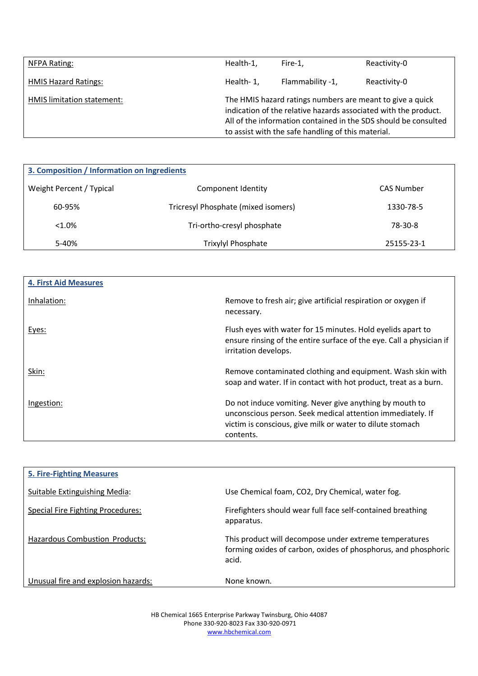| NFPA Rating:                | Health-1, | Fire-1.                                                                                                                                                                            | Reactivity-0                                                    |
|-----------------------------|-----------|------------------------------------------------------------------------------------------------------------------------------------------------------------------------------------|-----------------------------------------------------------------|
| <b>HMIS Hazard Ratings:</b> | Health-1, | Flammability -1,                                                                                                                                                                   | Reactivity-0                                                    |
| HMIS limitation statement:  |           | The HMIS hazard ratings numbers are meant to give a quick<br>indication of the relative hazards associated with the product.<br>to assist with the safe handling of this material. | All of the information contained in the SDS should be consulted |

| 3. Composition / Information on Ingredients |                                     |            |
|---------------------------------------------|-------------------------------------|------------|
| Weight Percent / Typical                    | Component Identity                  | CAS Number |
| 60-95%                                      | Tricresyl Phosphate (mixed isomers) | 1330-78-5  |
| $< 1.0\%$                                   | Tri-ortho-cresyl phosphate          | 78-30-8    |
| 5-40%                                       | Trixylyl Phosphate                  | 25155-23-1 |

| <b>4. First Aid Measures</b> |                                                                                                                                                                                                 |
|------------------------------|-------------------------------------------------------------------------------------------------------------------------------------------------------------------------------------------------|
| Inhalation:                  | Remove to fresh air; give artificial respiration or oxygen if<br>necessary.                                                                                                                     |
| Eyes:                        | Flush eyes with water for 15 minutes. Hold eyelids apart to<br>ensure rinsing of the entire surface of the eye. Call a physician if<br>irritation develops.                                     |
| Skin:                        | Remove contaminated clothing and equipment. Wash skin with<br>soap and water. If in contact with hot product, treat as a burn.                                                                  |
| Ingestion:                   | Do not induce vomiting. Never give anything by mouth to<br>unconscious person. Seek medical attention immediately. If<br>victim is conscious, give milk or water to dilute stomach<br>contents. |

| <b>5. Fire-Fighting Measures</b>      |                                                                                                                                   |
|---------------------------------------|-----------------------------------------------------------------------------------------------------------------------------------|
| Suitable Extinguishing Media:         | Use Chemical foam, CO2, Dry Chemical, water fog.                                                                                  |
| Special Fire Fighting Procedures:     | Firefighters should wear full face self-contained breathing<br>apparatus.                                                         |
| <b>Hazardous Combustion Products:</b> | This product will decompose under extreme temperatures<br>forming oxides of carbon, oxides of phosphorus, and phosphoric<br>acid. |
| Unusual fire and explosion hazards:   | None known.                                                                                                                       |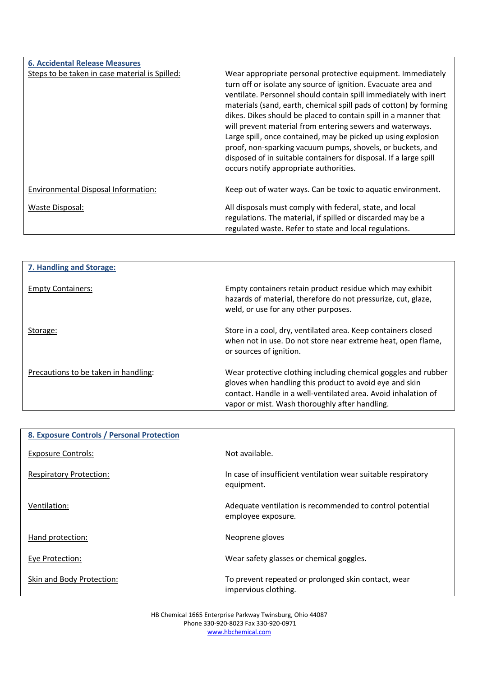| <b>6. Accidental Release Measures</b>          |                                                                                                                                                                                                                                                                                                                                                                                                                                                                                                                                                                                                                                                     |
|------------------------------------------------|-----------------------------------------------------------------------------------------------------------------------------------------------------------------------------------------------------------------------------------------------------------------------------------------------------------------------------------------------------------------------------------------------------------------------------------------------------------------------------------------------------------------------------------------------------------------------------------------------------------------------------------------------------|
| Steps to be taken in case material is Spilled: | Wear appropriate personal protective equipment. Immediately<br>turn off or isolate any source of ignition. Evacuate area and<br>ventilate. Personnel should contain spill immediately with inert<br>materials (sand, earth, chemical spill pads of cotton) by forming<br>dikes. Dikes should be placed to contain spill in a manner that<br>will prevent material from entering sewers and waterways.<br>Large spill, once contained, may be picked up using explosion<br>proof, non-sparking vacuum pumps, shovels, or buckets, and<br>disposed of in suitable containers for disposal. If a large spill<br>occurs notify appropriate authorities. |
| Environmental Disposal Information:            | Keep out of water ways. Can be toxic to aquatic environment.                                                                                                                                                                                                                                                                                                                                                                                                                                                                                                                                                                                        |
| Waste Disposal:                                | All disposals must comply with federal, state, and local<br>regulations. The material, if spilled or discarded may be a<br>regulated waste. Refer to state and local regulations.                                                                                                                                                                                                                                                                                                                                                                                                                                                                   |

| 7. Handling and Storage:             |                                                                                                                                                                                                                                               |
|--------------------------------------|-----------------------------------------------------------------------------------------------------------------------------------------------------------------------------------------------------------------------------------------------|
| <b>Empty Containers:</b>             | Empty containers retain product residue which may exhibit<br>hazards of material, therefore do not pressurize, cut, glaze,<br>weld, or use for any other purposes.                                                                            |
| Storage:                             | Store in a cool, dry, ventilated area. Keep containers closed<br>when not in use. Do not store near extreme heat, open flame,<br>or sources of ignition.                                                                                      |
| Precautions to be taken in handling: | Wear protective clothing including chemical goggles and rubber<br>gloves when handling this product to avoid eye and skin<br>contact. Handle in a well-ventilated area. Avoid inhalation of<br>vapor or mist. Wash thoroughly after handling. |

| 8. Exposure Controls / Personal Protection |                                                                                |
|--------------------------------------------|--------------------------------------------------------------------------------|
| <b>Exposure Controls:</b>                  | Not available.                                                                 |
| <b>Respiratory Protection:</b>             | In case of insufficient ventilation wear suitable respiratory<br>equipment.    |
| Ventilation:                               | Adequate ventilation is recommended to control potential<br>employee exposure. |
| Hand protection:                           | Neoprene gloves                                                                |
| Eye Protection:                            | Wear safety glasses or chemical goggles.                                       |
| Skin and Body Protection:                  | To prevent repeated or prolonged skin contact, wear<br>impervious clothing.    |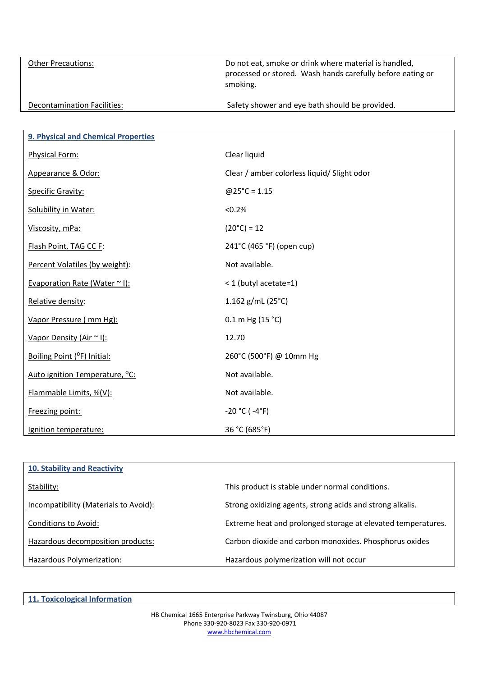Other Precautions: Other Precautions: Do not eat, smoke or drink where material is handled, processed or stored. Wash hands carefully before eating or smoking. Decontamination Facilities: Safety shower and eye bath should be provided.

| 9. Physical and Chemical Properties        |                                             |
|--------------------------------------------|---------------------------------------------|
| Physical Form:                             | Clear liquid                                |
| Appearance & Odor:                         | Clear / amber colorless liquid/ Slight odor |
| <b>Specific Gravity:</b>                   | $@25°C = 1.15$                              |
| Solubility in Water:                       | < 0.2%                                      |
| Viscosity, mPa:                            | $(20^{\circ}C) = 12$                        |
| Flash Point, TAG CC F:                     | 241°C (465 °F) (open cup)                   |
| Percent Volatiles (by weight):             | Not available.                              |
| Evaporation Rate (Water ~ I):              | < 1 (butyl acetate=1)                       |
| Relative density:                          | 1.162 $g/mL$ (25°C)                         |
| Vapor Pressure (mm Hg):                    | $0.1$ m Hg (15 °C)                          |
| Vapor Density (Air ~ I):                   | 12.70                                       |
| Boiling Point (°F) Initial:                | 260°C (500°F) @ 10mm Hg                     |
| Auto ignition Temperature, <sup>o</sup> C: | Not available.                              |
| Flammable Limits, %(V):                    | Not available.                              |
| Freezing point:                            | $-20 °C$ ( $-4 °F$ )                        |
| Ignition temperature:                      | 36 °C (685°F)                               |

| <b>10. Stability and Reactivity</b>   |                                                              |
|---------------------------------------|--------------------------------------------------------------|
| Stability:                            | This product is stable under normal conditions.              |
| Incompatibility (Materials to Avoid): | Strong oxidizing agents, strong acids and strong alkalis.    |
| Conditions to Avoid:                  | Extreme heat and prolonged storage at elevated temperatures. |
| Hazardous decomposition products:     | Carbon dioxide and carbon monoxides. Phosphorus oxides       |
| Hazardous Polymerization:             | Hazardous polymerization will not occur                      |

**11. Toxicological Information**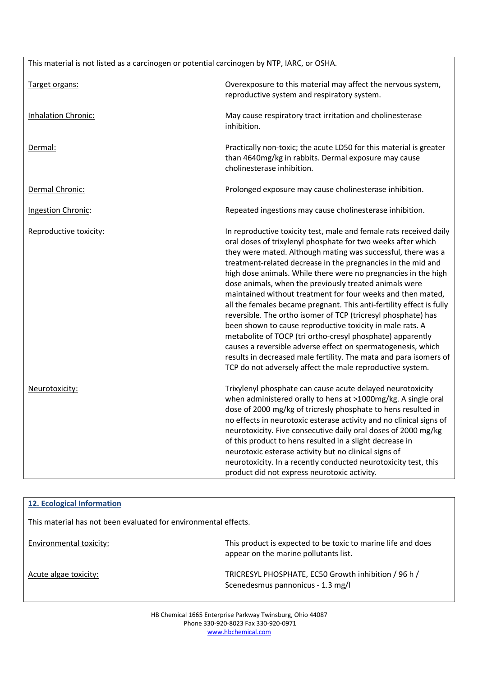| This material is not listed as a carcinogen or potential carcinogen by NTP, IARC, or OSHA. |                                                                                                                                                                                                                                                                                                                                                                                                                                                                                                                                                                                                                                                                                                                                                                                                                                                                                                                                     |  |
|--------------------------------------------------------------------------------------------|-------------------------------------------------------------------------------------------------------------------------------------------------------------------------------------------------------------------------------------------------------------------------------------------------------------------------------------------------------------------------------------------------------------------------------------------------------------------------------------------------------------------------------------------------------------------------------------------------------------------------------------------------------------------------------------------------------------------------------------------------------------------------------------------------------------------------------------------------------------------------------------------------------------------------------------|--|
| Target organs:                                                                             | Overexposure to this material may affect the nervous system,<br>reproductive system and respiratory system.                                                                                                                                                                                                                                                                                                                                                                                                                                                                                                                                                                                                                                                                                                                                                                                                                         |  |
| <b>Inhalation Chronic:</b>                                                                 | May cause respiratory tract irritation and cholinesterase<br>inhibition.                                                                                                                                                                                                                                                                                                                                                                                                                                                                                                                                                                                                                                                                                                                                                                                                                                                            |  |
| Dermal:                                                                                    | Practically non-toxic; the acute LD50 for this material is greater<br>than 4640mg/kg in rabbits. Dermal exposure may cause<br>cholinesterase inhibition.                                                                                                                                                                                                                                                                                                                                                                                                                                                                                                                                                                                                                                                                                                                                                                            |  |
| Dermal Chronic:                                                                            | Prolonged exposure may cause cholinesterase inhibition.                                                                                                                                                                                                                                                                                                                                                                                                                                                                                                                                                                                                                                                                                                                                                                                                                                                                             |  |
| Ingestion Chronic:                                                                         | Repeated ingestions may cause cholinesterase inhibition.                                                                                                                                                                                                                                                                                                                                                                                                                                                                                                                                                                                                                                                                                                                                                                                                                                                                            |  |
| Reproductive toxicity:                                                                     | In reproductive toxicity test, male and female rats received daily<br>oral doses of trixylenyl phosphate for two weeks after which<br>they were mated. Although mating was successful, there was a<br>treatment-related decrease in the pregnancies in the mid and<br>high dose animals. While there were no pregnancies in the high<br>dose animals, when the previously treated animals were<br>maintained without treatment for four weeks and then mated,<br>all the females became pregnant. This anti-fertility effect is fully<br>reversible. The ortho isomer of TCP (tricresyl phosphate) has<br>been shown to cause reproductive toxicity in male rats. A<br>metabolite of TOCP (tri ortho-cresyl phosphate) apparently<br>causes a reversible adverse effect on spermatogenesis, which<br>results in decreased male fertility. The mata and para isomers of<br>TCP do not adversely affect the male reproductive system. |  |
| Neurotoxicity:                                                                             | Trixylenyl phosphate can cause acute delayed neurotoxicity<br>when administered orally to hens at >1000mg/kg. A single oral<br>dose of 2000 mg/kg of tricresly phosphate to hens resulted in<br>no effects in neurotoxic esterase activity and no clinical signs of<br>neurotoxicity. Five consecutive daily oral doses of 2000 mg/kg<br>of this product to hens resulted in a slight decrease in<br>neurotoxic esterase activity but no clinical signs of<br>neurotoxicity. In a recently conducted neurotoxicity test, this<br>product did not express neurotoxic activity.                                                                                                                                                                                                                                                                                                                                                       |  |

| 12. Ecological Information                                      |                                                                                                       |
|-----------------------------------------------------------------|-------------------------------------------------------------------------------------------------------|
| This material has not been evaluated for environmental effects. |                                                                                                       |
| Environmental toxicity:                                         | This product is expected to be toxic to marine life and does<br>appear on the marine pollutants list. |
| Acute algae toxicity:                                           | TRICRESYL PHOSPHATE, EC50 Growth inhibition / 96 h /<br>Scenedesmus pannonicus - 1.3 mg/l             |
|                                                                 |                                                                                                       |